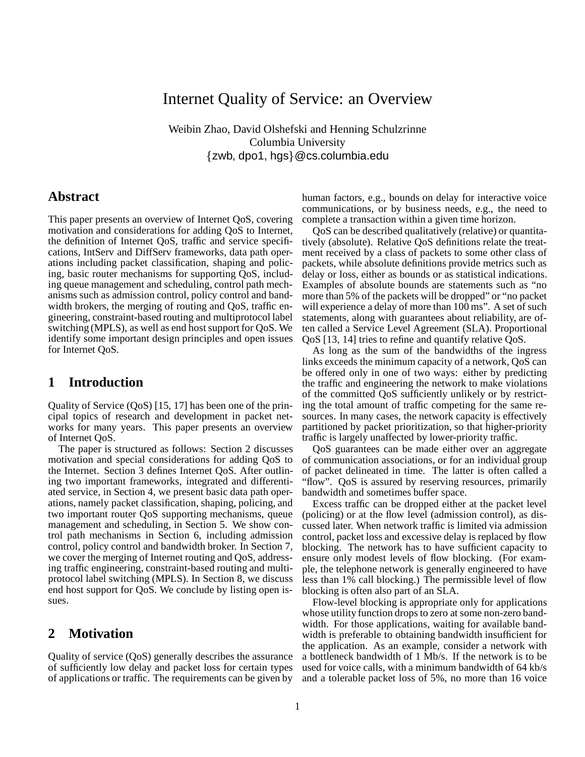# Internet Quality of Service: an Overview

Weibin Zhao, David Olshefski and Henning Schulzrinne Columbia University  $\{zwb, dpo1, hgs\}$ @cs.columbia.edu

## **Abstract**

This paper presents an overview of Internet QoS, covering motivation and considerations for adding QoS to Internet, the definition of Internet QoS, traffic and service specifications, IntServ and DiffServ frameworks, data path operations including packet classification, shaping and policing, basic router mechanisms for supporting QoS, including queue management and scheduling, control path mechanisms such as admission control, policy control and bandwidth brokers, the merging of routing and QoS, traffic engineering, constraint-based routing and multiprotocol label switching (MPLS), as well as end host support for QoS. We identify some important design principles and open issues for Internet QoS.

## **1 Introduction**

Quality of Service (QoS) [15, 17] has been one of the principal topics of research and development in packet networks for many years. This paper presents an overview of Internet QoS.

The paper is structured as follows: Section 2 discusses motivation and special considerations for adding QoS to the Internet. Section 3 defines Internet QoS. After outlining two important frameworks, integrated and differentiated service, in Section 4, we present basic data path operations, namely packet classification, shaping, policing, and two important router QoS supporting mechanisms, queue management and scheduling, in Section 5. We show control path mechanisms in Section 6, including admission control, policy control and bandwidth broker. In Section 7, we cover the merging of Internet routing and QoS, addressing traffic engineering, constraint-based routing and multiprotocol label switching (MPLS). In Section 8, we discuss end host support for QoS. We conclude by listing open issues.

## **2 Motivation**

Quality of service (QoS) generally describes the assurance of sufficiently low delay and packet loss for certain types of applications or traffic. The requirements can be given by

human factors, e.g., bounds on delay for interactive voice communications, or by business needs, e.g., the need to complete a transaction within a given time horizon.

QoS can be described qualitatively (relative) or quantitatively (absolute). Relative QoS definitions relate the treatment received by a class of packets to some other class of packets, while absolute definitions provide metrics such as delay or loss, either as bounds or as statistical indications. Examples of absolute bounds are statements such as "no more than 5% of the packets will be dropped" or "no packet will experience a delay of more than 100 ms". A set of such statements, along with guarantees about reliability, are often called a Service Level Agreement (SLA). Proportional QoS [13, 14] tries to refine and quantify relative QoS.

As long as the sum of the bandwidths of the ingress links exceeds the minimum capacity of a network, QoS can be offered only in one of two ways: either by predicting the traffic and engineering the network to make violations of the committed QoS sufficiently unlikely or by restricting the total amount of traffic competing for the same resources. In many cases, the network capacity is effectively partitioned by packet prioritization, so that higher-priority traffic is largely unaffected by lower-priority traffic.

QoS guarantees can be made either over an aggregate of communication associations, or for an individual group of packet delineated in time. The latter is often called a "flow". QoS is assured by reserving resources, primarily bandwidth and sometimes buffer space.

Excess traffic can be dropped either at the packet level (policing) or at the flow level (admission control), as discussed later. When network traffic is limited via admission control, packet loss and excessive delay is replaced by flow blocking. The network has to have sufficient capacity to ensure only modest levels of flow blocking. (For example, the telephone network is generally engineered to have less than 1% call blocking.) The permissible level of flow blocking is often also part of an SLA.

Flow-level blocking is appropriate only for applications whose utility function drops to zero at some non-zero bandwidth. For those applications, waiting for available bandwidth is preferable to obtaining bandwidth insufficient for the application. As an example, consider a network with a bottleneck bandwidth of 1 Mb/s. If the network is to be used for voice calls, with a minimum bandwidth of 64 kb/s and a tolerable packet loss of 5%, no more than 16 voice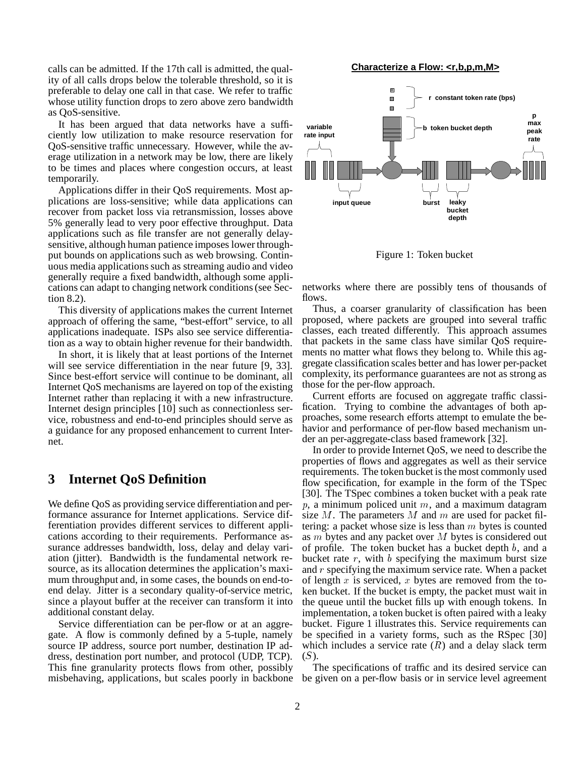calls can be admitted. If the 17th call is admitted, the quality of all calls drops below the tolerable threshold, so it is preferable to delay one call in that case. We refer to traffic whose utility function drops to zero above zero bandwidth as QoS-sensitive.

It has been argued that data networks have a sufficiently low utilization to make resource reservation for QoS-sensitive traffic unnecessary. However, while the average utilization in a network may be low, there are likely to be times and places where congestion occurs, at least temporarily.

Applications differ in their QoS requirements. Most applications are loss-sensitive; while data applications can recover from packet loss via retransmission, losses above 5% generally lead to very poor effective throughput. Data applications such as file transfer are not generally delaysensitive, although human patience imposes lower throughput bounds on applications such as web browsing. Continuous media applications such as streaming audio and video generally require a fixed bandwidth, although some applications can adapt to changing network conditions (see Section 8.2).

This diversity of applications makes the current Internet approach of offering the same, "best-effort" service, to all applications inadequate. ISPs also see service differentiation as a way to obtain higher revenue for their bandwidth.

In short, it is likely that at least portions of the Internet will see service differentiation in the near future [9, 33]. Since best-effort service will continue to be dominant, all Internet QoS mechanisms are layered on top of the existing Internet rather than replacing it with a new infrastructure. Internet design principles [10] such as connectionless service, robustness and end-to-end principles should serve as a guidance for any proposed enhancement to current Internet.

## **3 Internet QoS Definition**

We define QoS as providing service differentiation and performance assurance for Internet applications. Service differentiation provides different services to different applications according to their requirements. Performance assurance addresses bandwidth, loss, delay and delay variation (jitter). Bandwidth is the fundamental network resource, as its allocation determines the application's maximum throughput and, in some cases, the bounds on end-toend delay. Jitter is a secondary quality-of-service metric, since a playout buffer at the receiver can transform it into additional constant delay.

Service differentiation can be per-flow or at an aggregate. A flow is commonly defined by a 5-tuple, namely source IP address, source port number, destination IP address, destination port number, and protocol (UDP, TCP). This fine granularity protects flows from other, possibly





Figure 1: Token bucket

networks where there are possibly tens of thousands of flows.

Thus, a coarser granularity of classification has been proposed, where packets are grouped into several traffic classes, each treated differently. This approach assumes that packets in the same class have similar QoS requirements no matter what flows they belong to. While this aggregate classification scales better and has lower per-packet complexity, its performance guarantees are not as strong as those for the per-flow approach.

Current efforts are focused on aggregate traffic classification. Trying to combine the advantages of both approaches, some research efforts attempt to emulate the behavior and performance of per-flow based mechanism under an per-aggregate-class based framework [32].

In order to provide Internet QoS, we need to describe the properties of flows and aggregates as well as their service requirements. The token bucket is the most commonly used flow specification, for example in the form of the TSpec [30]. The TSpec combines a token bucket with a peak rate  $p$ , a minimum policed unit  $m$ , and a maximum datagram size  $M$ . The parameters  $M$  and  $m$  are used for packet filtering: a packet whose size is less than  $m$  bytes is counted as m bytes and any packet over M bytes is considered out of profile. The token bucket has a bucket depth  $b$ , and a bucket rate  $r$ , with  $b$  specifying the maximum burst size and <sup>r</sup> specifying the maximum service rate. When a packet of length x is serviced, x bytes are removed from the token bucket. If the bucket is empty, the packet must wait in the queue until the bucket fills up with enough tokens. In implementation, a token bucket is often paired with a leaky bucket. Figure 1 illustrates this. Service requirements can be specified in a variety forms, such as the RSpec [30] which includes a service rate  $(R)$  and a delay slack term  $(S)$ .

misbehaving, applications, but scales poorly in backbone be given on a per-flow basis or in service level agreement The specifications of traffic and its desired service can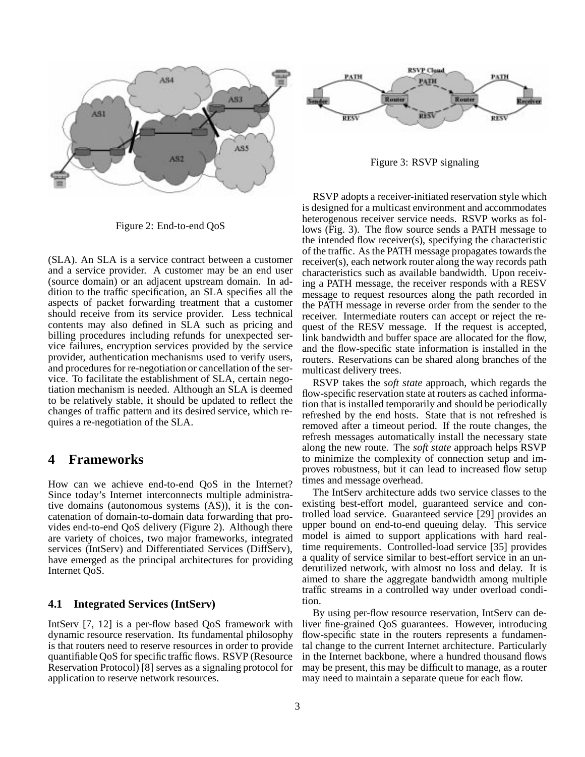

Figure 2: End-to-end QoS

(SLA). An SLA is a service contract between a customer and a service provider. A customer may be an end user (source domain) or an adjacent upstream domain. In addition to the traffic specification, an SLA specifies all the aspects of packet forwarding treatment that a customer should receive from its service provider. Less technical contents may also defined in SLA such as pricing and billing procedures including refunds for unexpected service failures, encryption services provided by the service provider, authentication mechanisms used to verify users, and procedures for re-negotiation or cancellation of the service. To facilitate the establishment of SLA, certain negotiation mechanism is needed. Although an SLA is deemed to be relatively stable, it should be updated to reflect the changes of traffic pattern and its desired service, which requires a re-negotiation of the SLA.

## **4 Frameworks**

How can we achieve end-to-end QoS in the Internet? Since today's Internet interconnects multiple administrative domains (autonomous systems (AS)), it is the concatenation of domain-to-domain data forwarding that provides end-to-end QoS delivery (Figure 2). Although there are variety of choices, two major frameworks, integrated services (IntServ) and Differentiated Services (DiffServ), have emerged as the principal architectures for providing Internet QoS.

### **4.1 Integrated Services (IntServ)**

IntServ [7, 12] is a per-flow based QoS framework with dynamic resource reservation. Its fundamental philosophy is that routers need to reserve resources in order to provide quantifiable QoS for specific traffic flows. RSVP (Resource Reservation Protocol) [8] serves as a signaling protocol for application to reserve network resources.



Figure 3: RSVP signaling

RSVP adopts a receiver-initiated reservation style which is designed for a multicast environment and accommodates heterogenous receiver service needs. RSVP works as follows (Fig. 3). The flow source sends a PATH message to the intended flow receiver(s), specifying the characteristic of the traffic. As the PATH message propagates towards the receiver(s), each network router along the way records path characteristics such as available bandwidth. Upon receiving a PATH message, the receiver responds with a RESV message to request resources along the path recorded in the PATH message in reverse order from the sender to the receiver. Intermediate routers can accept or reject the request of the RESV message. If the request is accepted, link bandwidth and buffer space are allocated for the flow, and the flow-specific state information is installed in the routers. Reservations can be shared along branches of the multicast delivery trees.

RSVP takes the *soft state* approach, which regards the flow-specific reservation state at routers as cached information that is installed temporarily and should be periodically refreshed by the end hosts. State that is not refreshed is removed after a timeout period. If the route changes, the refresh messages automatically install the necessary state along the new route. The *soft state* approach helps RSVP to minimize the complexity of connection setup and improves robustness, but it can lead to increased flow setup times and message overhead.

The IntServ architecture adds two service classes to the existing best-effort model, guaranteed service and controlled load service. Guaranteed service [29] provides an upper bound on end-to-end queuing delay. This service model is aimed to support applications with hard realtime requirements. Controlled-load service [35] provides a quality of service similar to best-effort service in an underutilized network, with almost no loss and delay. It is aimed to share the aggregate bandwidth among multiple traffic streams in a controlled way under overload condition.

By using per-flow resource reservation, IntServ can deliver fine-grained QoS guarantees. However, introducing flow-specific state in the routers represents a fundamental change to the current Internet architecture. Particularly in the Internet backbone, where a hundred thousand flows may be present, this may be difficult to manage, as a router may need to maintain a separate queue for each flow.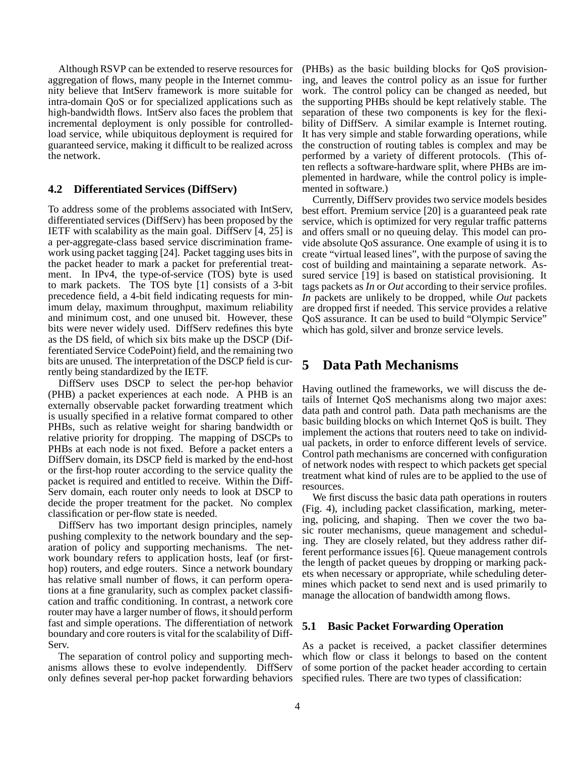Although RSVP can be extended to reserve resources for aggregation of flows, many people in the Internet community believe that IntServ framework is more suitable for intra-domain QoS or for specialized applications such as high-bandwidth flows. IntServ also faces the problem that incremental deployment is only possible for controlledload service, while ubiquitous deployment is required for guaranteed service, making it difficult to be realized across the network.

### **4.2 Differentiated Services (DiffServ)**

To address some of the problems associated with IntServ, differentiated services (DiffServ) has been proposed by the IETF with scalability as the main goal. DiffServ [4, 25] is a per-aggregate-class based service discrimination framework using packet tagging [24]. Packet tagging uses bits in the packet header to mark a packet for preferential treatment. In IPv4, the type-of-service (TOS) byte is used to mark packets. The TOS byte [1] consists of a 3-bit precedence field, a 4-bit field indicating requests for minimum delay, maximum throughput, maximum reliability and minimum cost, and one unused bit. However, these bits were never widely used. DiffServ redefines this byte as the DS field, of which six bits make up the DSCP (Differentiated Service CodePoint) field, and the remaining two bits are unused. The interpretation of the DSCP field is currently being standardized by the IETF.

DiffServ uses DSCP to select the per-hop behavior (PHB) a packet experiences at each node. A PHB is an externally observable packet forwarding treatment which is usually specified in a relative format compared to other PHBs, such as relative weight for sharing bandwidth or relative priority for dropping. The mapping of DSCPs to PHBs at each node is not fixed. Before a packet enters a DiffServ domain, its DSCP field is marked by the end-host or the first-hop router according to the service quality the packet is required and entitled to receive. Within the Diff-Serv domain, each router only needs to look at DSCP to decide the proper treatment for the packet. No complex classification or per-flow state is needed.

DiffServ has two important design principles, namely pushing complexity to the network boundary and the separation of policy and supporting mechanisms. The network boundary refers to application hosts, leaf (or firsthop) routers, and edge routers. Since a network boundary has relative small number of flows, it can perform operations at a fine granularity, such as complex packet classification and traffic conditioning. In contrast, a network core router may have a larger number of flows, it should perform fast and simple operations. The differentiation of network boundary and core routers is vital for the scalability of Diff-Serv.

The separation of control policy and supporting mechanisms allows these to evolve independently. DiffServ only defines several per-hop packet forwarding behaviors (PHBs) as the basic building blocks for QoS provisioning, and leaves the control policy as an issue for further work. The control policy can be changed as needed, but the supporting PHBs should be kept relatively stable. The separation of these two components is key for the flexibility of DiffServ. A similar example is Internet routing. It has very simple and stable forwarding operations, while the construction of routing tables is complex and may be performed by a variety of different protocols. (This often reflects a software-hardware split, where PHBs are implemented in hardware, while the control policy is implemented in software.)

Currently, DiffServ provides two service models besides best effort. Premium service [20] is a guaranteed peak rate service, which is optimized for very regular traffic patterns and offers small or no queuing delay. This model can provide absolute QoS assurance. One example of using it is to create "virtual leased lines", with the purpose of saving the cost of building and maintaining a separate network. Assured service [19] is based on statistical provisioning. It tags packets as *In* or *Out* according to their service profiles. *In* packets are unlikely to be dropped, while *Out* packets are dropped first if needed. This service provides a relative QoS assurance. It can be used to build "Olympic Service" which has gold, silver and bronze service levels.

## **5 Data Path Mechanisms**

Having outlined the frameworks, we will discuss the details of Internet QoS mechanisms along two major axes: data path and control path. Data path mechanisms are the basic building blocks on which Internet QoS is built. They implement the actions that routers need to take on individual packets, in order to enforce different levels of service. Control path mechanisms are concerned with configuration of network nodes with respect to which packets get special treatment what kind of rules are to be applied to the use of resources.

We first discuss the basic data path operations in routers (Fig. 4), including packet classification, marking, metering, policing, and shaping. Then we cover the two basic router mechanisms, queue management and scheduling. They are closely related, but they address rather different performance issues [6]. Queue management controls the length of packet queues by dropping or marking packets when necessary or appropriate, while scheduling determines which packet to send next and is used primarily to manage the allocation of bandwidth among flows.

### **5.1 Basic Packet Forwarding Operation**

As a packet is received, a packet classifier determines which flow or class it belongs to based on the content of some portion of the packet header according to certain specified rules. There are two types of classification: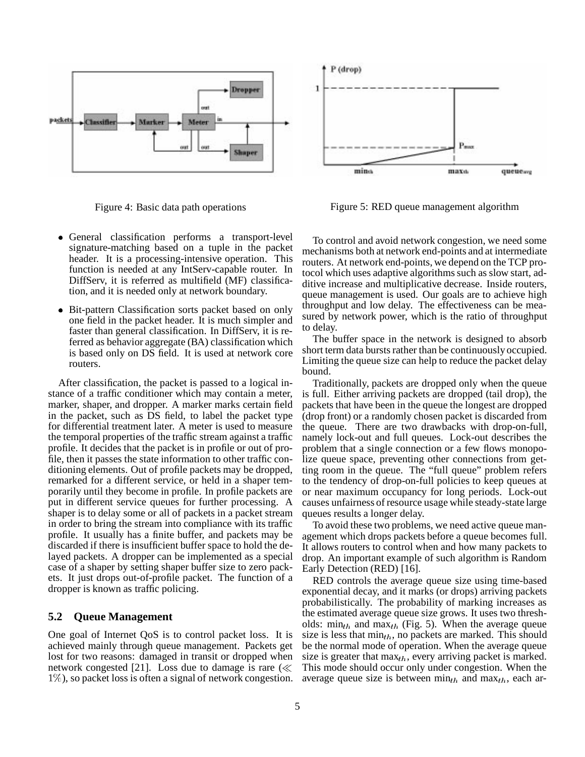

Figure 4: Basic data path operations



Figure 5: RED queue management algorithm

- General classification performs a transport-level signature-matching based on a tuple in the packet header. It is a processing-intensive operation. This function is needed at any IntServ-capable router. In DiffServ, it is referred as multifield (MF) classification, and it is needed only at network boundary.
- Bit-pattern Classification sorts packet based on only one field in the packet header. It is much simpler and faster than general classification. In DiffServ, it is referred as behavior aggregate (BA) classification which is based only on DS field. It is used at network core routers.

After classification, the packet is passed to a logical instance of a traffic conditioner which may contain a meter, marker, shaper, and dropper. A marker marks certain field in the packet, such as DS field, to label the packet type for differential treatment later. A meter is used to measure the temporal properties of the traffic stream against a traffic profile. It decides that the packet is in profile or out of profile, then it passes the state information to other traffic conditioning elements. Out of profile packets may be dropped, remarked for a different service, or held in a shaper temporarily until they become in profile. In profile packets are put in different service queues for further processing. A shaper is to delay some or all of packets in a packet stream in order to bring the stream into compliance with its traffic profile. It usually has a finite buffer, and packets may be discarded if there is insufficient buffer space to hold the delayed packets. A dropper can be implemented as a special case of a shaper by setting shaper buffer size to zero packets. It just drops out-of-profile packet. The function of a dropper is known as traffic policing.

### **5.2 Queue Management**

One goal of Internet QoS is to control packet loss. It is achieved mainly through queue management. Packets get lost for two reasons: damaged in transit or dropped when network congested [21]. Loss due to damage is rare  $(\ll$ 1%), so packet loss is often a signal of network congestion.

To control and avoid network congestion, we need some mechanisms both at network end-points and at intermediate routers. At network end-points, we depend on the TCP protocol which uses adaptive algorithms such as slow start, additive increase and multiplicative decrease. Inside routers, queue management is used. Our goals are to achieve high throughput and low delay. The effectiveness can be measured by network power, which is the ratio of throughput to delay.

The buffer space in the network is designed to absorb short term data bursts rather than be continuously occupied. Limiting the queue size can help to reduce the packet delay bound.

Traditionally, packets are dropped only when the queue is full. Either arriving packets are dropped (tail drop), the packets that have been in the queue the longest are dropped (drop front) or a randomly chosen packet is discarded from the queue. There are two drawbacks with drop-on-full, namely lock-out and full queues. Lock-out describes the problem that a single connection or a few flows monopolize queue space, preventing other connections from getting room in the queue. The "full queue" problem refers to the tendency of drop-on-full policies to keep queues at or near maximum occupancy for long periods. Lock-out causes unfairness of resource usage while steady-state large queues results a longer delay.

To avoid these two problems, we need active queue management which drops packets before a queue becomes full. It allows routers to control when and how many packets to drop. An important example of such algorithm is Random Early Detection (RED) [16].

RED controls the average queue size using time-based exponential decay, and it marks (or drops) arriving packets probabilistically. The probability of marking increases as the estimated average queue size grows. It uses two thresholds:  $\min_{th}$  and  $\max_{th}$  (Fig. 5). When the average queue size is less that  $min_{th}$ , no packets are marked. This should be the normal mode of operation. When the average queue size is greater that  $\max_{th}$ , every arriving packet is marked. This mode should occur only under congestion. When the average queue size is between  $min_{th}$  and  $max_{th}$ , each ar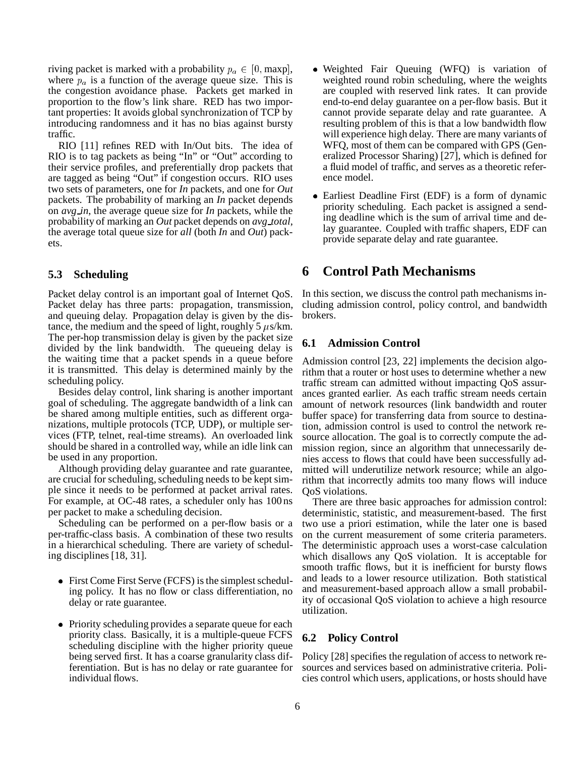riving packet is marked with a probability  $p_a \in [0, \text{maxp}],$ where  $p_a$  is a function of the average queue size. This is the congestion avoidance phase. Packets get marked in proportion to the flow's link share. RED has two important properties: It avoids global synchronization of TCP by introducing randomness and it has no bias against bursty traffic.

RIO [11] refines RED with In/Out bits. The idea of RIO is to tag packets as being "In" or "Out" according to their service profiles, and preferentially drop packets that are tagged as being "Out" if congestion occurs. RIO uses two sets of parameters, one for *In* packets, and one for *Out* packets. The probability of marking an *In* packet depends on *avg in*, the average queue size for *In* packets, while the probability of marking an *Out* packet depends on *avg total*, the average total queue size for *all* (both *In* and *Out*) packets.

### **5.3 Scheduling**

Packet delay control is an important goal of Internet QoS. Packet delay has three parts: propagation, transmission, and queuing delay. Propagation delay is given by the distance, the medium and the speed of light, roughly 5  $\mu$ s/km. The per-hop transmission delay is given by the packet size divided by the link bandwidth. The queueing delay is the waiting time that a packet spends in a queue before it is transmitted. This delay is determined mainly by the scheduling policy.

Besides delay control, link sharing is another important goal of scheduling. The aggregate bandwidth of a link can be shared among multiple entities, such as different organizations, multiple protocols (TCP, UDP), or multiple services (FTP, telnet, real-time streams). An overloaded link should be shared in a controlled way, while an idle link can be used in any proportion.

Although providing delay guarantee and rate guarantee, are crucial for scheduling, scheduling needs to be kept simple since it needs to be performed at packet arrival rates. For example, at OC-48 rates, a scheduler only has 100 ns per packet to make a scheduling decision.

Scheduling can be performed on a per-flow basis or a per-traffic-class basis. A combination of these two results in a hierarchical scheduling. There are variety of scheduling disciplines [18, 31].

- First Come First Serve (FCFS) is the simplest scheduling policy. It has no flow or class differentiation, no delay or rate guarantee.
- Priority scheduling provides a separate queue for each priority class. Basically, it is a multiple-queue FCFS scheduling discipline with the higher priority queue being served first. It has a coarse granularity class differentiation. But is has no delay or rate guarantee for individual flows.
- Weighted Fair Queuing (WFQ) is variation of weighted round robin scheduling, where the weights are coupled with reserved link rates. It can provide end-to-end delay guarantee on a per-flow basis. But it cannot provide separate delay and rate guarantee. A resulting problem of this is that a low bandwidth flow will experience high delay. There are many variants of WFQ, most of them can be compared with GPS (Generalized Processor Sharing) [27], which is defined for a fluid model of traffic, and serves as a theoretic reference model.
- Earliest Deadline First (EDF) is a form of dynamic priority scheduling. Each packet is assigned a sending deadline which is the sum of arrival time and delay guarantee. Coupled with traffic shapers, EDF can provide separate delay and rate guarantee.

### **6 Control Path Mechanisms**

In this section, we discuss the control path mechanisms including admission control, policy control, and bandwidth brokers.

### **6.1 Admission Control**

Admission control [23, 22] implements the decision algorithm that a router or host uses to determine whether a new traffic stream can admitted without impacting QoS assurances granted earlier. As each traffic stream needs certain amount of network resources (link bandwidth and router buffer space) for transferring data from source to destination, admission control is used to control the network resource allocation. The goal is to correctly compute the admission region, since an algorithm that unnecessarily denies access to flows that could have been successfully admitted will underutilize network resource; while an algorithm that incorrectly admits too many flows will induce QoS violations.

There are three basic approaches for admission control: deterministic, statistic, and measurement-based. The first two use a priori estimation, while the later one is based on the current measurement of some criteria parameters. The deterministic approach uses a worst-case calculation which disallows any QoS violation. It is acceptable for smooth traffic flows, but it is inefficient for bursty flows and leads to a lower resource utilization. Both statistical and measurement-based approach allow a small probability of occasional QoS violation to achieve a high resource utilization.

### **6.2 Policy Control**

Policy [28] specifies the regulation of access to network resources and services based on administrative criteria. Policies control which users, applications, or hosts should have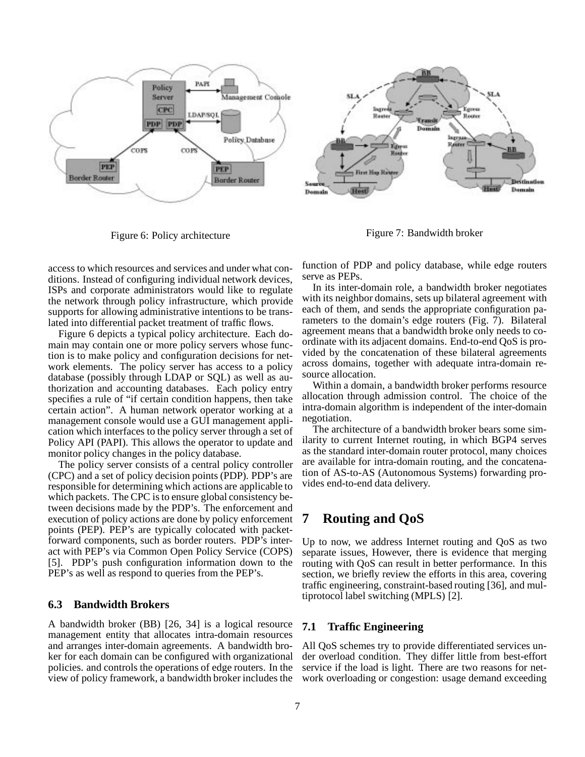

Figure 6: Policy architecture

Figure 7: Bandwidth broker

access to which resources and services and under what conditions. Instead of configuring individual network devices, ISPs and corporate administrators would like to regulate the network through policy infrastructure, which provide supports for allowing administrative intentions to be translated into differential packet treatment of traffic flows.

Figure 6 depicts a typical policy architecture. Each domain may contain one or more policy servers whose function is to make policy and configuration decisions for network elements. The policy server has access to a policy database (possibly through LDAP or SQL) as well as authorization and accounting databases. Each policy entry specifies a rule of "if certain condition happens, then take certain action". A human network operator working at a management console would use a GUI management application which interfaces to the policy server through a set of Policy API (PAPI). This allows the operator to update and monitor policy changes in the policy database.

The policy server consists of a central policy controller (CPC) and a set of policy decision points (PDP). PDP's are responsible for determining which actions are applicable to which packets. The CPC is to ensure global consistency between decisions made by the PDP's. The enforcement and execution of policy actions are done by policy enforcement points (PEP). PEP's are typically colocated with packetforward components, such as border routers. PDP's interact with PEP's via Common Open Policy Service (COPS) [5]. PDP's push configuration information down to the PEP's as well as respond to queries from the PEP's.

### **6.3 Bandwidth Brokers**

A bandwidth broker (BB) [26, 34] is a logical resource management entity that allocates intra-domain resources and arranges inter-domain agreements. A bandwidth broker for each domain can be configured with organizational policies. and controls the operations of edge routers. In the view of policy framework, a bandwidth broker includes the function of PDP and policy database, while edge routers serve as PEPs.

In its inter-domain role, a bandwidth broker negotiates with its neighbor domains, sets up bilateral agreement with each of them, and sends the appropriate configuration parameters to the domain's edge routers (Fig. 7). Bilateral agreement means that a bandwidth broke only needs to coordinate with its adjacent domains. End-to-end QoS is provided by the concatenation of these bilateral agreements across domains, together with adequate intra-domain resource allocation.

Within a domain, a bandwidth broker performs resource allocation through admission control. The choice of the intra-domain algorithm is independent of the inter-domain negotiation.

The architecture of a bandwidth broker bears some similarity to current Internet routing, in which BGP4 serves as the standard inter-domain router protocol, many choices are available for intra-domain routing, and the concatenation of AS-to-AS (Autonomous Systems) forwarding provides end-to-end data delivery.

## **7 Routing and QoS**

Up to now, we address Internet routing and QoS as two separate issues, However, there is evidence that merging routing with QoS can result in better performance. In this section, we briefly review the efforts in this area, covering traffic engineering, constraint-based routing [36], and multiprotocol label switching (MPLS) [2].

### **7.1 Traffic Engineering**

All QoS schemes try to provide differentiated services under overload condition. They differ little from best-effort service if the load is light. There are two reasons for network overloading or congestion: usage demand exceeding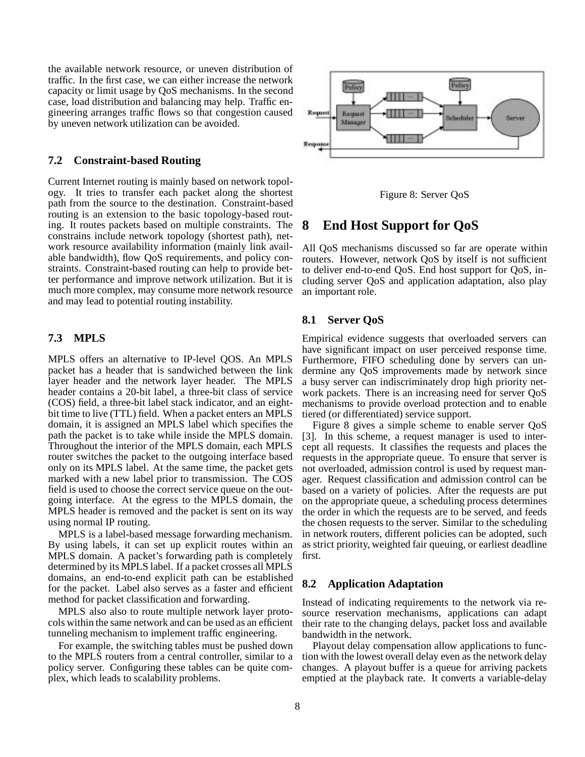the available network resource, or uneven distribution of traffic. In the first case, we can either increase the network capacity or limit usage by QoS mechanisms. In the second case, load distribution and balancing may help. Traffic engineering arranges traffic flows so that congestion caused by uneven network utilization can be avoided.

#### **7.2 Constraint-based Routing**

Current Internet routing is mainly based on network topology. It tries to transfer each packet along the shortest path from the source to the destination. Constraint-based routing is an extension to the basic topology-based routing. It routes packets based on multiple constraints. The constrains include network topology (shortest path), network resource availability information (mainly link available bandwidth), flow QoS requirements, and policy constraints. Constraint-based routing can help to provide better performance and improve network utilization. But it is much more complex, may consume more network resource and may lead to potential routing instability.

### **7.3 MPLS**

MPLS offers an alternative to IP-level QOS. An MPLS packet has a header that is sandwiched between the link layer header and the network layer header. The MPLS header contains a 20-bit label, a three-bit class of service (COS) field, a three-bit label stack indicator, and an eightbit time to live (TTL) field. When a packet enters an MPLS domain, it is assigned an MPLS label which specifies the path the packet is to take while inside the MPLS domain. Throughout the interior of the MPLS domain, each MPLS router switches the packet to the outgoing interface based only on its MPLS label. At the same time, the packet gets marked with a new label prior to transmission. The COS field is used to choose the correct service queue on the outgoing interface. At the egress to the MPLS domain, the MPLS header is removed and the packet is sent on its way using normal IP routing.

MPLS is a label-based message forwarding mechanism. By using labels, it can set up explicit routes within an MPLS domain. A packet's forwarding path is completely determined by its MPLS label. If a packet crosses all MPLS domains, an end-to-end explicit path can be established for the packet. Label also serves as a faster and efficient method for packet classification and forwarding.

MPLS also also to route multiple network layer protocols within the same network and can be used as an efficient tunneling mechanism to implement traffic engineering.

For example, the switching tables must be pushed down to the MPLS routers from a central controller, similar to a policy server. Configuring these tables can be quite complex, which leads to scalability problems.



Figure 8: Server QoS

## **8 End Host Support for QoS**

All QoS mechanisms discussed so far are operate within routers. However, network QoS by itself is not sufficient to deliver end-to-end QoS. End host support for QoS, including server QoS and application adaptation, also play an important role.

### **8.1 Server QoS**

Empirical evidence suggests that overloaded servers can have significant impact on user perceived response time. Furthermore, FIFO scheduling done by servers can undermine any QoS improvements made by network since a busy server can indiscriminately drop high priority network packets. There is an increasing need for server QoS mechanisms to provide overload protection and to enable tiered (or differentiated) service support.

Figure 8 gives a simple scheme to enable server QoS [3]. In this scheme, a request manager is used to intercept all requests. It classifies the requests and places the requests in the appropriate queue. To ensure that server is not overloaded, admission control is used by request manager. Request classification and admission control can be based on a variety of policies. After the requests are put on the appropriate queue, a scheduling process determines the order in which the requests are to be served, and feeds the chosen requests to the server. Similar to the scheduling in network routers, different policies can be adopted, such as strict priority, weighted fair queuing, or earliest deadline first.

#### **8.2 Application Adaptation**

Instead of indicating requirements to the network via resource reservation mechanisms, applications can adapt their rate to the changing delays, packet loss and available bandwidth in the network.

Playout delay compensation allow applications to function with the lowest overall delay even as the network delay changes. A playout buffer is a queue for arriving packets emptied at the playback rate. It converts a variable-delay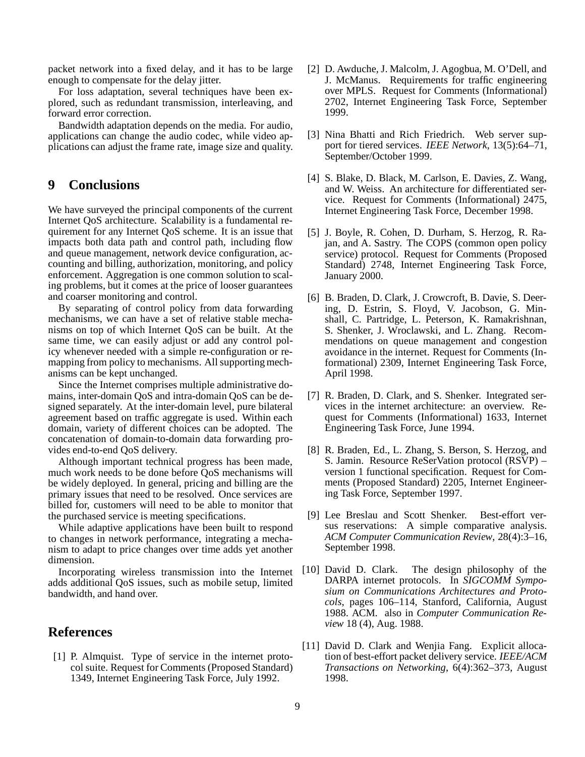packet network into a fixed delay, and it has to be large enough to compensate for the delay jitter.

For loss adaptation, several techniques have been explored, such as redundant transmission, interleaving, and forward error correction.

Bandwidth adaptation depends on the media. For audio, applications can change the audio codec, while video applications can adjust the frame rate, image size and quality.

## **9 Conclusions**

We have surveyed the principal components of the current Internet QoS architecture. Scalability is a fundamental requirement for any Internet QoS scheme. It is an issue that impacts both data path and control path, including flow and queue management, network device configuration, accounting and billing, authorization, monitoring, and policy enforcement. Aggregation is one common solution to scaling problems, but it comes at the price of looser guarantees and coarser monitoring and control.

By separating of control policy from data forwarding mechanisms, we can have a set of relative stable mechanisms on top of which Internet QoS can be built. At the same time, we can easily adjust or add any control policy whenever needed with a simple re-configuration or remapping from policy to mechanisms. All supporting mechanisms can be kept unchanged.

Since the Internet comprises multiple administrative domains, inter-domain QoS and intra-domain QoS can be designed separately. At the inter-domain level, pure bilateral agreement based on traffic aggregate is used. Within each domain, variety of different choices can be adopted. The concatenation of domain-to-domain data forwarding provides end-to-end QoS delivery.

Although important technical progress has been made, much work needs to be done before QoS mechanisms will be widely deployed. In general, pricing and billing are the primary issues that need to be resolved. Once services are billed for, customers will need to be able to monitor that the purchased service is meeting specifications.

While adaptive applications have been built to respond to changes in network performance, integrating a mechanism to adapt to price changes over time adds yet another dimension.

Incorporating wireless transmission into the Internet adds additional QoS issues, such as mobile setup, limited bandwidth, and hand over.

## **References**

[1] P. Almquist. Type of service in the internet protocol suite. Request for Comments (Proposed Standard) 1349, Internet Engineering Task Force, July 1992.

- [2] D. Awduche, J. Malcolm, J. Agogbua, M. O'Dell, and J. McManus. Requirements for traffic engineering over MPLS. Request for Comments (Informational) 2702, Internet Engineering Task Force, September 1999.
- [3] Nina Bhatti and Rich Friedrich. Web server support for tiered services. *IEEE Network*, 13(5):64–71, September/October 1999.
- [4] S. Blake, D. Black, M. Carlson, E. Davies, Z. Wang, and W. Weiss. An architecture for differentiated service. Request for Comments (Informational) 2475, Internet Engineering Task Force, December 1998.
- [5] J. Boyle, R. Cohen, D. Durham, S. Herzog, R. Rajan, and A. Sastry. The COPS (common open policy service) protocol. Request for Comments (Proposed Standard) 2748, Internet Engineering Task Force, January 2000.
- [6] B. Braden, D. Clark, J. Crowcroft, B. Davie, S. Deering, D. Estrin, S. Floyd, V. Jacobson, G. Minshall, C. Partridge, L. Peterson, K. Ramakrishnan, S. Shenker, J. Wroclawski, and L. Zhang. Recommendations on queue management and congestion avoidance in the internet. Request for Comments (Informational) 2309, Internet Engineering Task Force, April 1998.
- [7] R. Braden, D. Clark, and S. Shenker. Integrated services in the internet architecture: an overview. Request for Comments (Informational) 1633, Internet Engineering Task Force, June 1994.
- [8] R. Braden, Ed., L. Zhang, S. Berson, S. Herzog, and S. Jamin. Resource ReSerVation protocol (RSVP) – version 1 functional specification. Request for Comments (Proposed Standard) 2205, Internet Engineering Task Force, September 1997.
- [9] Lee Breslau and Scott Shenker. Best-effort versus reservations: A simple comparative analysis. *ACM Computer Communication Review*, 28(4):3–16, September 1998.
- [10] David D. Clark. The design philosophy of the DARPA internet protocols. In *SIGCOMM Symposium on Communications Architectures and Protocols*, pages 106–114, Stanford, California, August 1988. ACM. also in *Computer Communication Review* 18 (4), Aug. 1988.
- [11] David D. Clark and Wenjia Fang. Explicit allocation of best-effort packet delivery service. *IEEE/ACM Transactions on Networking*, 6(4):362–373, August 1998.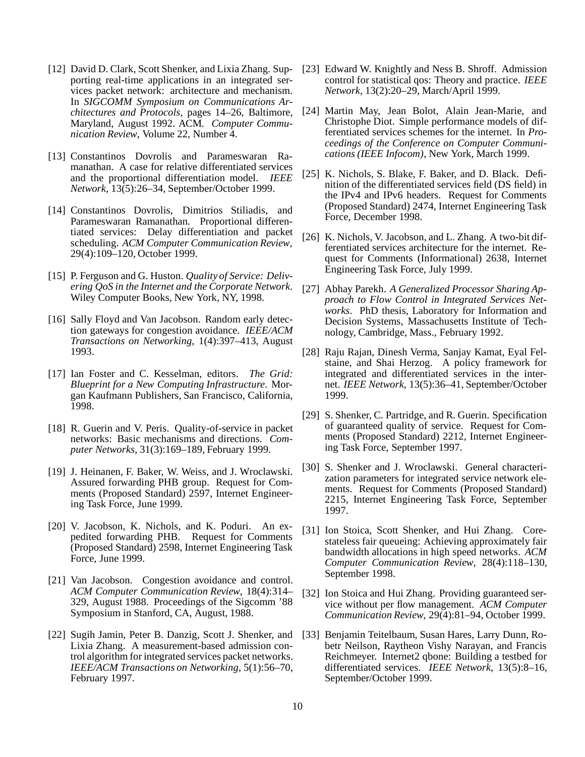- [12] David D. Clark, Scott Shenker, and Lixia Zhang. Supporting real-time applications in an integrated services packet network: architecture and mechanism. In *SIGCOMM Symposium on Communications Architectures and Protocols*, pages 14–26, Baltimore, Maryland, August 1992. ACM. *Computer Communication Review*, Volume 22, Number 4.
- [13] Constantinos Dovrolis and Parameswaran Ramanathan. A case for relative differentiated services and the proportional differentiation model. *IEEE Network*, 13(5):26–34, September/October 1999.
- [14] Constantinos Dovrolis, Dimitrios Stiliadis, and Parameswaran Ramanathan. Proportional differentiated services: Delay differentiation and packet scheduling. *ACM Computer Communication Review*, 29(4):109–120, October 1999.
- [15] P. Ferguson and G. Huston. *Quality of Service: Delivering QoS in the Internet and the Corporate Network*. Wiley Computer Books, New York, NY, 1998.
- [16] Sally Floyd and Van Jacobson. Random early detection gateways for congestion avoidance. *IEEE/ACM Transactions on Networking*, 1(4):397–413, August 1993.
- [17] Ian Foster and C. Kesselman, editors. *The Grid: Blueprint for a New Computing Infrastructure*. Morgan Kaufmann Publishers, San Francisco, California, 1998.
- [18] R. Guerin and V. Peris. Quality-of-service in packet networks: Basic mechanisms and directions. *Computer Networks*, 31(3):169–189, February 1999.
- [19] J. Heinanen, F. Baker, W. Weiss, and J. Wroclawski. Assured forwarding PHB group. Request for Comments (Proposed Standard) 2597, Internet Engineering Task Force, June 1999.
- [20] V. Jacobson, K. Nichols, and K. Poduri. An expedited forwarding PHB. Request for Comments (Proposed Standard) 2598, Internet Engineering Task Force, June 1999.
- [21] Van Jacobson. Congestion avoidance and control. *ACM Computer Communication Review*, 18(4):314– 329, August 1988. Proceedings of the Sigcomm '88 Symposium in Stanford, CA, August, 1988.
- [22] Sugih Jamin, Peter B. Danzig, Scott J. Shenker, and Lixia Zhang. A measurement-based admission control algorithm for integrated services packet networks. *IEEE/ACM Transactions on Networking*, 5(1):56–70, February 1997.
- [23] Edward W. Knightly and Ness B. Shroff. Admission control for statistical qos: Theory and practice. *IEEE Network*, 13(2):20–29, March/April 1999.
- [24] Martin May, Jean Bolot, Alain Jean-Marie, and Christophe Diot. Simple performance models of differentiated services schemes for the internet. In *Proceedings of the Conference on Computer Communications (IEEE Infocom)*, New York, March 1999.
- [25] K. Nichols, S. Blake, F. Baker, and D. Black. Definition of the differentiated services field (DS field) in the IPv4 and IPv6 headers. Request for Comments (Proposed Standard) 2474, Internet Engineering Task Force, December 1998.
- [26] K. Nichols, V. Jacobson, and L. Zhang. A two-bit differentiated services architecture for the internet. Request for Comments (Informational) 2638, Internet Engineering Task Force, July 1999.
- [27] Abhay Parekh. *A Generalized Processor Sharing Approach to Flow Control in Integrated Services Networks*. PhD thesis, Laboratory for Information and Decision Systems, Massachusetts Institute of Technology, Cambridge, Mass., February 1992.
- [28] Raju Rajan, Dinesh Verma, Sanjay Kamat, Eyal Felstaine, and Shai Herzog. A policy framework for integrated and differentiated services in the internet. *IEEE Network*, 13(5):36–41, September/October 1999.
- [29] S. Shenker, C. Partridge, and R. Guerin. Specification of guaranteed quality of service. Request for Comments (Proposed Standard) 2212, Internet Engineering Task Force, September 1997.
- [30] S. Shenker and J. Wroclawski. General characterization parameters for integrated service network elements. Request for Comments (Proposed Standard) 2215, Internet Engineering Task Force, September 1997.
- [31] Ion Stoica, Scott Shenker, and Hui Zhang. Corestateless fair queueing: Achieving approximately fair bandwidth allocations in high speed networks. *ACM Computer Communication Review*, 28(4):118–130, September 1998.
- [32] Ion Stoica and Hui Zhang. Providing guaranteed service without per flow management. *ACM Computer Communication Review*, 29(4):81–94, October 1999.
- [33] Benjamin Teitelbaum, Susan Hares, Larry Dunn, Robetr Neilson, Raytheon Vishy Narayan, and Francis Reichmeyer. Internet2 qbone: Building a testbed for differentiated services. *IEEE Network*, 13(5):8–16, September/October 1999.